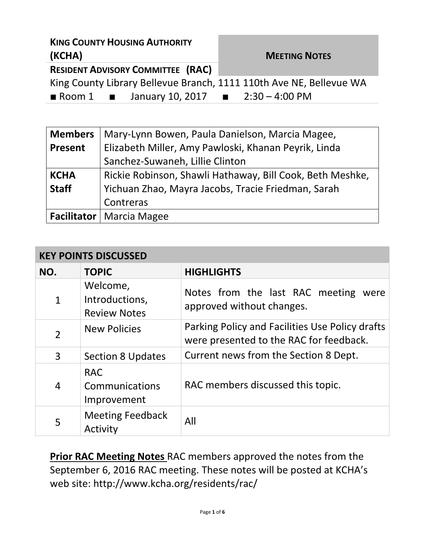| <b>KING COUNTY HOUSING AUTHORITY</b>                                |                      |  |  |
|---------------------------------------------------------------------|----------------------|--|--|
| (KCHA)                                                              | <b>MEETING NOTES</b> |  |  |
| <b>RESIDENT ADVISORY COMMITTEE (RAC)</b>                            |                      |  |  |
| King County Library Bellevue Branch, 1111 110th Ave NE, Bellevue WA |                      |  |  |
| <b>Room 1 January 10, 2017 10. 2:30 – 4:00 PM</b>                   |                      |  |  |

| <b>Members</b> | Mary-Lynn Bowen, Paula Danielson, Marcia Magee,           |  |
|----------------|-----------------------------------------------------------|--|
| Present        | Elizabeth Miller, Amy Pawloski, Khanan Peyrik, Linda      |  |
|                | Sanchez-Suwaneh, Lillie Clinton                           |  |
| <b>KCHA</b>    | Rickie Robinson, Shawli Hathaway, Bill Cook, Beth Meshke, |  |
| <b>Staff</b>   | Yichuan Zhao, Mayra Jacobs, Tracie Friedman, Sarah        |  |
|                | Contreras                                                 |  |
|                | <b>Facilitator</b>   Marcia Magee                         |  |

## **KEY POINTS DISCUSSED**

| NO.            | <b>TOPIC</b>                                      | <b>HIGHLIGHTS</b>                                                                          |
|----------------|---------------------------------------------------|--------------------------------------------------------------------------------------------|
| $\mathbf{1}$   | Welcome,<br>Introductions,<br><b>Review Notes</b> | Notes from the last RAC meeting were<br>approved without changes.                          |
| $\overline{2}$ | <b>New Policies</b>                               | Parking Policy and Facilities Use Policy drafts<br>were presented to the RAC for feedback. |
| 3              | <b>Section 8 Updates</b>                          | Current news from the Section 8 Dept.                                                      |
| $\overline{4}$ | <b>RAC</b><br>Communications<br>Improvement       | RAC members discussed this topic.                                                          |
| 5              | <b>Meeting Feedback</b><br>Activity               | All                                                                                        |

**Prior RAC Meeting Notes** RAC members approved the notes from the September 6, 2016 RAC meeting. These notes will be posted at KCHA's web site: http://www.kcha.org/residents/rac/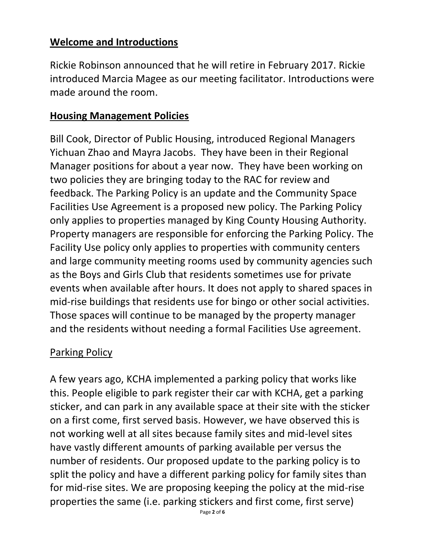#### **Welcome and Introductions**

Rickie Robinson announced that he will retire in February 2017. Rickie introduced Marcia Magee as our meeting facilitator. Introductions were made around the room.

#### **Housing Management Policies**

Bill Cook, Director of Public Housing, introduced Regional Managers Yichuan Zhao and Mayra Jacobs. They have been in their Regional Manager positions for about a year now. They have been working on two policies they are bringing today to the RAC for review and feedback. The Parking Policy is an update and the Community Space Facilities Use Agreement is a proposed new policy. The Parking Policy only applies to properties managed by King County Housing Authority. Property managers are responsible for enforcing the Parking Policy. The Facility Use policy only applies to properties with community centers and large community meeting rooms used by community agencies such as the Boys and Girls Club that residents sometimes use for private events when available after hours. It does not apply to shared spaces in mid-rise buildings that residents use for bingo or other social activities. Those spaces will continue to be managed by the property manager and the residents without needing a formal Facilities Use agreement.

## Parking Policy

A few years ago, KCHA implemented a parking policy that works like this. People eligible to park register their car with KCHA, get a parking sticker, and can park in any available space at their site with the sticker on a first come, first served basis. However, we have observed this is not working well at all sites because family sites and mid-level sites have vastly different amounts of parking available per versus the number of residents. Our proposed update to the parking policy is to split the policy and have a different parking policy for family sites than for mid-rise sites. We are proposing keeping the policy at the mid-rise properties the same (i.e. parking stickers and first come, first serve)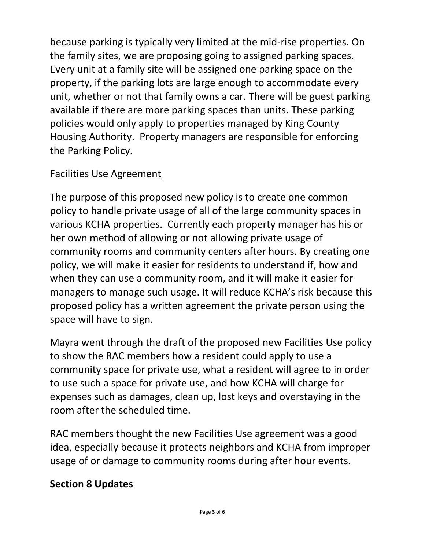because parking is typically very limited at the mid-rise properties. On the family sites, we are proposing going to assigned parking spaces. Every unit at a family site will be assigned one parking space on the property, if the parking lots are large enough to accommodate every unit, whether or not that family owns a car. There will be guest parking available if there are more parking spaces than units. These parking policies would only apply to properties managed by King County Housing Authority. Property managers are responsible for enforcing the Parking Policy.

## Facilities Use Agreement

The purpose of this proposed new policy is to create one common policy to handle private usage of all of the large community spaces in various KCHA properties. Currently each property manager has his or her own method of allowing or not allowing private usage of community rooms and community centers after hours. By creating one policy, we will make it easier for residents to understand if, how and when they can use a community room, and it will make it easier for managers to manage such usage. It will reduce KCHA's risk because this proposed policy has a written agreement the private person using the space will have to sign.

Mayra went through the draft of the proposed new Facilities Use policy to show the RAC members how a resident could apply to use a community space for private use, what a resident will agree to in order to use such a space for private use, and how KCHA will charge for expenses such as damages, clean up, lost keys and overstaying in the room after the scheduled time.

RAC members thought the new Facilities Use agreement was a good idea, especially because it protects neighbors and KCHA from improper usage of or damage to community rooms during after hour events.

## **Section 8 Updates**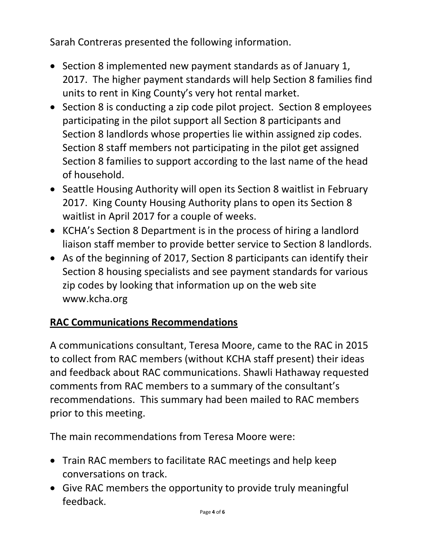Sarah Contreras presented the following information.

- Section 8 implemented new payment standards as of January 1, 2017. The higher payment standards will help Section 8 families find units to rent in King County's very hot rental market.
- Section 8 is conducting a zip code pilot project. Section 8 employees participating in the pilot support all Section 8 participants and Section 8 landlords whose properties lie within assigned zip codes. Section 8 staff members not participating in the pilot get assigned Section 8 families to support according to the last name of the head of household.
- Seattle Housing Authority will open its Section 8 waitlist in February 2017. King County Housing Authority plans to open its Section 8 waitlist in April 2017 for a couple of weeks.
- KCHA's Section 8 Department is in the process of hiring a landlord liaison staff member to provide better service to Section 8 landlords.
- As of the beginning of 2017, Section 8 participants can identify their Section 8 housing specialists and see payment standards for various zip codes by looking that information up on the web site www.kcha.org

# **RAC Communications Recommendations**

A communications consultant, Teresa Moore, came to the RAC in 2015 to collect from RAC members (without KCHA staff present) their ideas and feedback about RAC communications. Shawli Hathaway requested comments from RAC members to a summary of the consultant's recommendations. This summary had been mailed to RAC members prior to this meeting.

The main recommendations from Teresa Moore were:

- Train RAC members to facilitate RAC meetings and help keep conversations on track.
- Give RAC members the opportunity to provide truly meaningful feedback.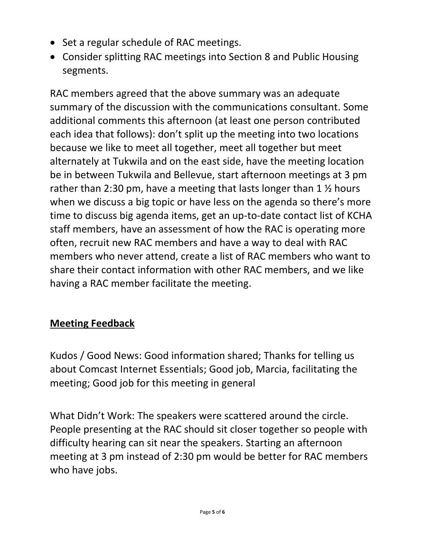- Set a regular schedule of RAC meetings.
- Consider splitting RAC meetings into Section 8 and Public Housing segments.

RAC members agreed that the above summary was an adequate summary of the discussion with the communications consultant. Some additional comments this afternoon (at least one person contributed each idea that follows): don't split up the meeting into two locations because we like to meet all together, meet all together but meet alternately at Tukwila and on the east side, have the meeting location be in between Tukwila and Bellevue, start afternoon meetings at 3 pm rather than 2:30 pm, have a meeting that lasts longer than  $1 \frac{1}{2}$  hours when we discuss a big topic or have less on the agenda so there's more time to discuss big agenda items, get an up-to-date contact list of KCHA staff members, have an assessment of how the RAC is operating more often, recruit new RAC members and have a way to deal with RAC members who never attend, create a list of RAC members who want to share their contact information with other RAC members, and we like having a RAC member facilitate the meeting.

## **Meeting Feedback**

Kudos / Good News: Good information shared; Thanks for telling us about Comcast Internet Essentials; Good job, Marcia, facilitating the meeting; Good job for this meeting in general

What Didn't Work: The speakers were scattered around the circle. People presenting at the RAC should sit closer together so people with difficulty hearing can sit near the speakers. Starting an afternoon meeting at 3 pm instead of 2:30 pm would be better for RAC members who have jobs.